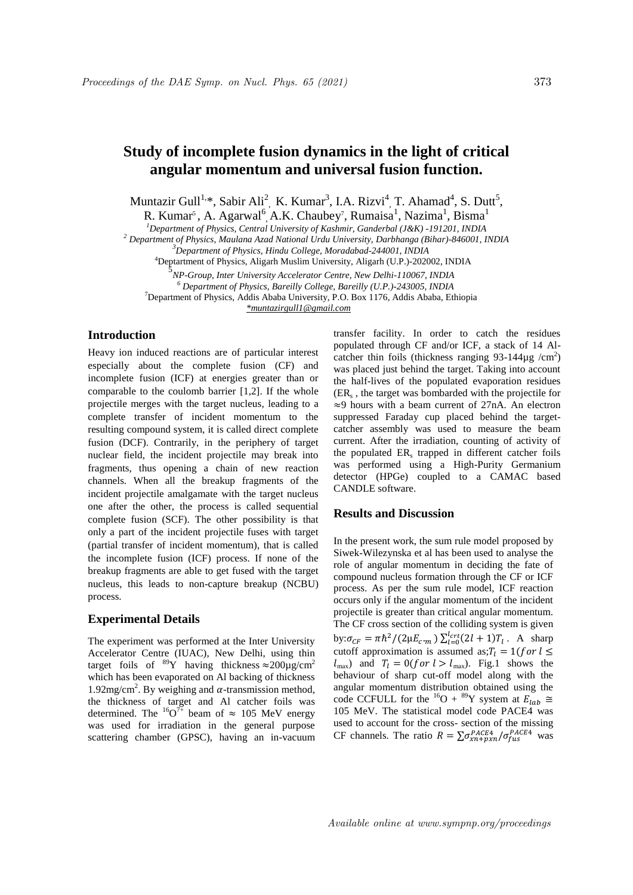# **Study of incomplete fusion dynamics in the light of critical angular momentum and universal fusion function.**

Muntazir Gull<sup>1,\*</sup>, Sabir Ali<sup>2</sup>, K. Kumar<sup>3</sup>, I.A. Rizvi<sup>4</sup>, T. Ahamad<sup>4</sup>, S. Dutt<sup>5</sup>,

R. Kumar<sup>5</sup>, A. Agarwal<sup>6</sup>, A.K. Chaubey<sup>7</sup>, Rumaisa<sup>1</sup>, Nazima<sup>1</sup>, Bisma<sup>1</sup>

*<sup>1</sup>Department of Physics, Central University of Kashmir, Ganderbal (J&K) -191201, INDIA*

*<sup>2</sup> Department of Physics, Maulana Azad National Urdu University, Darbhanga (Bihar)-846001, INDIA*

<sup>4</sup>Deptartment of Physics, Aligarh Muslim University, Aligarh (U.P.)-202002, INDIA 5

*NP-Group, Inter University Accelerator Centre, New Delhi-110067, INDIA*

*<sup>6</sup> Department of Physics, Bareilly College, Bareilly (U.P.)-243005, INDIA*

<sup>7</sup>Department of Physics, Addis Ababa University, P.O. Box 1176, Addis Ababa, Ethiopia

 *\*muntazirgull1@gmail.com*

## **Introduction**

Heavy ion induced reactions are of particular interest especially about the complete fusion (CF) and incomplete fusion (ICF) at energies greater than or comparable to the coulomb barrier [1,2]. If the whole projectile merges with the target nucleus, leading to a complete transfer of incident momentum to the resulting compound system, it is called direct complete fusion (DCF). Contrarily, in the periphery of target nuclear field, the incident projectile may break into fragments, thus opening a chain of new reaction channels. When all the breakup fragments of the incident projectile amalgamate with the target nucleus one after the other, the process is called sequential complete fusion (SCF). The other possibility is that only a part of the incident projectile fuses with target (partial transfer of incident momentum), that is called the incomplete fusion (ICF) process. If none of the breakup fragments are able to get fused with the target nucleus, this leads to non-capture breakup (NCBU) process.

#### **Experimental Details**

The experiment was performed at the Inter University Accelerator Centre (IUAC), New Delhi, using thin target foils of  ${}^{89}Y$  having thickness  $\approx 200 \mu g/cm^2$ which has been evaporated on Al backing of thickness 1.92mg/cm<sup>2</sup>. By weighing and  $\alpha$ -transmission method, the thickness of target and Al catcher foils was determined. The  ${}^{16}O^{7+}$  beam of  $\approx 105$  MeV energy was used for irradiation in the general purpose scattering chamber (GPSC), having an in-vacuum

transfer facility. In order to catch the residues populated through CF and/or ICF, a stack of 14 Alcatcher thin foils (thickness ranging  $93-144\mu g$  /cm<sup>2</sup>) was placed just behind the target. Taking into account the half-lives of the populated evaporation residues (ER<sup>s</sup> , the target was bombarded with the projectile for  $\approx$ 9 hours with a beam current of 27nA. An electron suppressed Faraday cup placed behind the targetcatcher assembly was used to measure the beam current. After the irradiation, counting of activity of the populated ER<sub>s</sub> trapped in different catcher foils was performed using a High-Purity Germanium detector (HPGe) coupled to a CAMAC based CANDLE software.

### **Results and Discussion**

In the present work, the sum rule model proposed by Siwek-Wilezynska et al has been used to analyse the role of angular momentum in deciding the fate of compound nucleus formation through the CF or ICF process. As per the sum rule model, ICF reaction occurs only if the angular momentum of the incident projectile is greater than critical angular momentum. The CF cross section of the colliding system is given by: $\sigma_{CF} = \pi \hbar^2 / (2 \mu E_{c.m.}) \sum_{l=0}^{l_{crt}} (2l+1) T_l$ . A sharp cutoff approximation is assumed as;  $T_l = 1$  (for  $l \leq$  $l_{\text{max}}$ ) and  $T_l = 0$ (f or  $l > l_{\text{max}}$ ). Fig.1 shows the behaviour of sharp cut-off model along with the angular momentum distribution obtained using the code CCFULL for the <sup>16</sup>O + <sup>89</sup>Y system at  $E_{lab} \cong$ 105 MeV. The statistical model code PACE4 was used to account for the cross- section of the missing CF channels. The ratio  $R = \sum_{n=1}^{\infty} \sigma_{xn+pxn}^{PACE4} / \sigma_{fus}^{PACE4}$  was

*<sup>3</sup>Department of Physics, Hindu College, Moradabad-244001, INDIA*